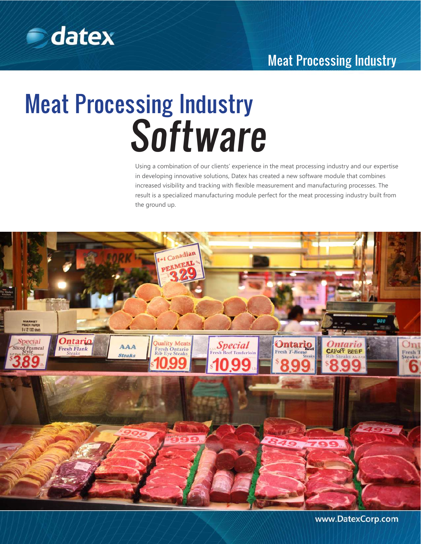

# Meat Processing Industry

# Meat Processing Industry **Software**

Using a combination of our clients' experience in the meat processing industry and our expertise in developing innovative solutions, Datex has created a new software module that combines increased visibility and tracking with flexible measurement and manufacturing processes. The result is a specialized manufacturing module perfect for the meat processing industry built from the ground up.



www.DatexCorp.com